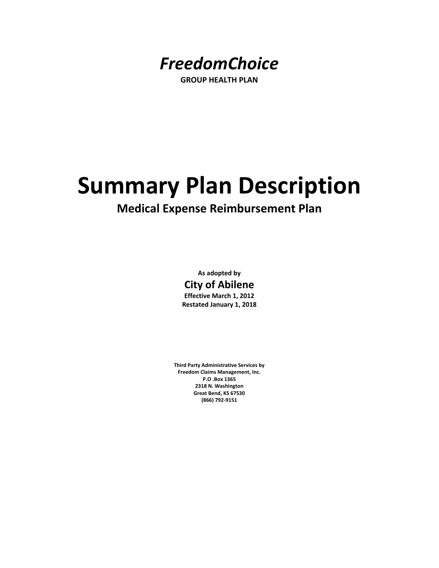

**GROUP HEALTH PLAN**

# **Summary Plan Description**

## **Medical Expense Reimbursement Plan**

**As adopted by City of Abilene Effective March 1, 2012 Restated January 1, 2018**

**Third Party Administrative Services by Freedom Claims Management, Inc. P.O .Box 1365 2318 N. Washington Great Bend, KS 67530 (866) 792‐9151**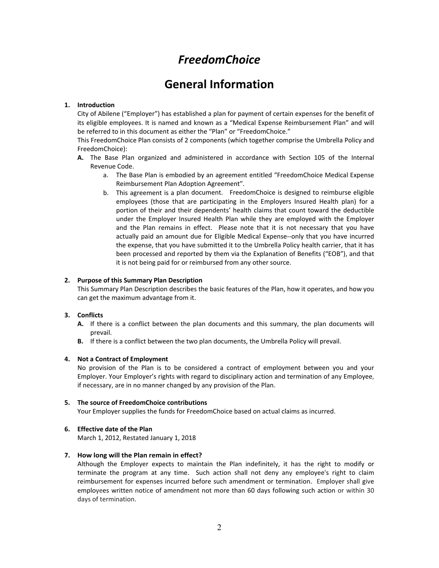## *FreedomChoice*

## **General Information**

#### **1. Introduction**

City of Abilene ("Employer") has established a plan for payment of certain expenses for the benefit of its eligible employees. It is named and known as a "Medical Expense Reimbursement Plan" and will be referred to in this document as either the "Plan" or "FreedomChoice."

This FreedomChoice Plan consists of 2 components (which together comprise the Umbrella Policy and FreedomChoice):

- **A.** The Base Plan organized and administered in accordance with Section 105 of the Internal Revenue Code.
	- a. The Base Plan is embodied by an agreement entitled "FreedomChoice Medical Expense Reimbursement Plan Adoption Agreement".
	- b. This agreement is a plan document. FreedomChoice is designed to reimburse eligible employees (those that are participating in the Employers Insured Health plan) for a portion of their and their dependents' health claims that count toward the deductible under the Employer Insured Health Plan while they are employed with the Employer and the Plan remains in effect. Please note that it is not necessary that you have actually paid an amount due for Eligible Medical Expense‐‐only that you have incurred the expense, that you have submitted it to the Umbrella Policy health carrier, that it has been processed and reported by them via the Explanation of Benefits ("EOB"), and that it is not being paid for or reimbursed from any other source.

#### **2. Purpose of this Summary Plan Description**

This Summary Plan Description describes the basic features of the Plan, how it operates, and how you can get the maximum advantage from it.

#### **3. Conflicts**

- **A.** If there is a conflict between the plan documents and this summary, the plan documents will prevail.
- **B.** If there is a conflict between the two plan documents, the Umbrella Policy will prevail.

#### **4. Not a Contract of Employment**

No provision of the Plan is to be considered a contract of employment between you and your Employer. Your Employer's rights with regard to disciplinary action and termination of any Employee, if necessary, are in no manner changed by any provision of the Plan.

#### **5. The source of FreedomChoice contributions**

Your Employer supplies the funds for FreedomChoice based on actual claims as incurred.

#### **6. Effective date of the Plan**

March 1, 2012, Restated January 1, 2018

#### **7. How long will the Plan remain in effect?**

Although the Employer expects to maintain the Plan indefinitely, it has the right to modify or terminate the program at any time. Such action shall not deny any employee's right to claim reimbursement for expenses incurred before such amendment or termination. Employer shall give employees written notice of amendment not more than 60 days following such action or within 30 days of termination.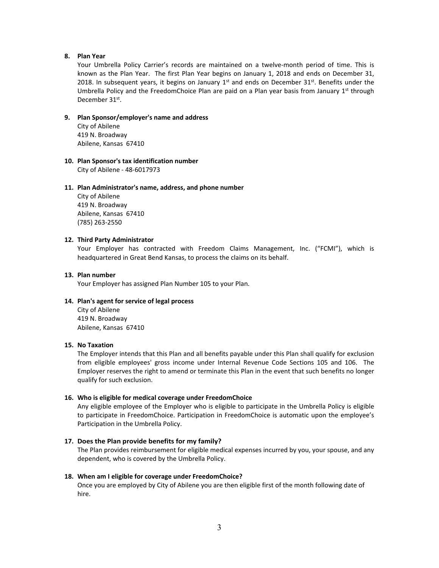#### **8. Plan Year**

Your Umbrella Policy Carrier's records are maintained on a twelve-month period of time. This is known as the Plan Year. The first Plan Year begins on January 1, 2018 and ends on December 31, 2018. In subsequent years, it begins on January  $1<sup>st</sup>$  and ends on December 31 $<sup>st</sup>$ . Benefits under the</sup> Umbrella Policy and the FreedomChoice Plan are paid on a Plan year basis from January 1<sup>st</sup> through December 31st.

#### **9. Plan Sponsor/employer's name and address**

City of Abilene 419 N. Broadway Abilene, Kansas 67410

#### **10. Plan Sponsor's tax identification number**

City of Abilene ‐ 48‐6017973

#### **11. Plan Administrator's name, address, and phone number**

City of Abilene 419 N. Broadway Abilene, Kansas 67410 (785) 263‐2550

#### **12. Third Party Administrator**

Your Employer has contracted with Freedom Claims Management, Inc. ("FCMI"), which is headquartered in Great Bend Kansas, to process the claims on its behalf.

#### **13. Plan number**

Your Employer has assigned Plan Number 105 to your Plan.

#### **14. Plan's agent for service of legal process**

City of Abilene 419 N. Broadway Abilene, Kansas 67410

#### **15. No Taxation**

The Employer intends that this Plan and all benefits payable under this Plan shall qualify for exclusion from eligible employees' gross income under Internal Revenue Code Sections 105 and 106. The Employer reserves the right to amend or terminate this Plan in the event that such benefits no longer qualify for such exclusion.

#### **16. Who is eligible for medical coverage under FreedomChoice**

Any eligible employee of the Employer who is eligible to participate in the Umbrella Policy is eligible to participate in FreedomChoice. Participation in FreedomChoice is automatic upon the employee's Participation in the Umbrella Policy.

#### **17. Does the Plan provide benefits for my family?**

The Plan provides reimbursement for eligible medical expenses incurred by you, your spouse, and any dependent, who is covered by the Umbrella Policy.

#### **18. When am I eligible for coverage under FreedomChoice?**

Once you are employed by City of Abilene you are then eligible first of the month following date of hire.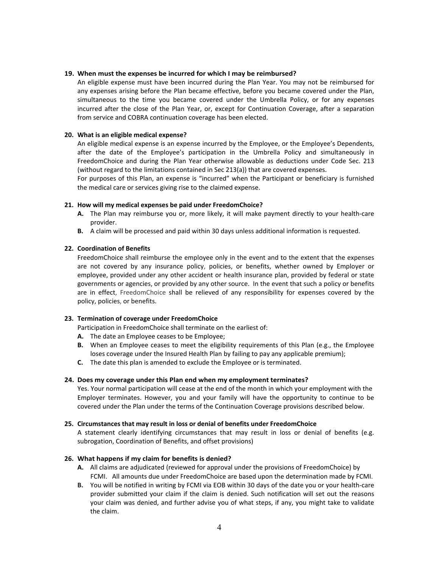#### **19. When must the expenses be incurred for which I may be reimbursed?**

An eligible expense must have been incurred during the Plan Year. You may not be reimbursed for any expenses arising before the Plan became effective, before you became covered under the Plan, simultaneous to the time you became covered under the Umbrella Policy, or for any expenses incurred after the close of the Plan Year, or, except for Continuation Coverage, after a separation from service and COBRA continuation coverage has been elected.

#### **20. What is an eligible medical expense?**

An eligible medical expense is an expense incurred by the Employee, or the Employee's Dependents, after the date of the Employee's participation in the Umbrella Policy and simultaneously in FreedomChoice and during the Plan Year otherwise allowable as deductions under Code Sec. 213 (without regard to the limitations contained in Sec 213(a)) that are covered expenses.

For purposes of this Plan, an expense is "incurred" when the Participant or beneficiary is furnished the medical care or services giving rise to the claimed expense.

#### **21. How will my medical expenses be paid under FreedomChoice?**

- **A.** The Plan may reimburse you or, more likely, it will make payment directly to your health‐care provider.
- **B.** A claim will be processed and paid within 30 days unless additional information is requested.

#### **22. Coordination of Benefits**

FreedomChoice shall reimburse the employee only in the event and to the extent that the expenses are not covered by any insurance policy, policies, or benefits, whether owned by Employer or employee, provided under any other accident or health insurance plan, provided by federal or state governments or agencies, or provided by any other source. In the event that such a policy or benefits are in effect, FreedomChoice shall be relieved of any responsibility for expenses covered by the policy, policies, or benefits.

#### **23. Termination of coverage under FreedomChoice**

Participation in FreedomChoice shall terminate on the earliest of:

- **A.** The date an Employee ceases to be Employee;
- **B.** When an Employee ceases to meet the eligibility requirements of this Plan (e.g., the Employee loses coverage under the Insured Health Plan by failing to pay any applicable premium);
- **C.** The date this plan is amended to exclude the Employee or is terminated.

#### **24. Does my coverage under this Plan end when my employment terminates?**

Yes. Your normal participation will cease at the end of the month in which your employment with the Employer terminates. However, you and your family will have the opportunity to continue to be covered under the Plan under the terms of the Continuation Coverage provisions described below.

#### **25. Circumstances that may result in loss or denial of benefits under FreedomChoice**

A statement clearly identifying circumstances that may result in loss or denial of benefits (e.g. subrogation, Coordination of Benefits, and offset provisions)

#### **26. What happens if my claim for benefits is denied?**

- **A.** All claims are adjudicated (reviewed for approval under the provisions of FreedomChoice) by FCMI. All amounts due under FreedomChoice are based upon the determination made by FCMI.
- **B.** You will be notified in writing by FCMI via EOB within 30 days of the date you or your health‐care provider submitted your claim if the claim is denied. Such notification will set out the reasons your claim was denied, and further advise you of what steps, if any, you might take to validate the claim.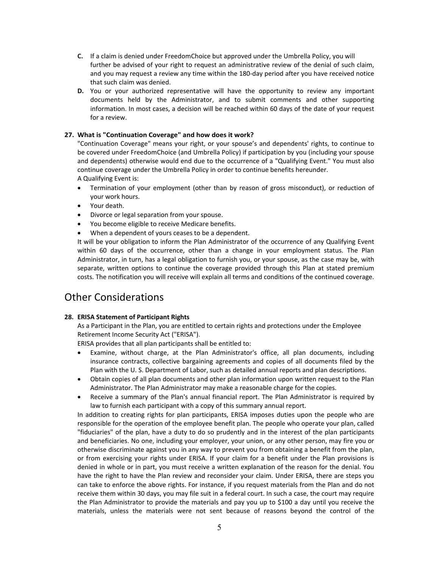- **C.** If a claim is denied under FreedomChoice but approved under the Umbrella Policy, you will further be advised of your right to request an administrative review of the denial of such claim, and you may request a review any time within the 180‐day period after you have received notice that such claim was denied.
- **D.** You or your authorized representative will have the opportunity to review any important documents held by the Administrator, and to submit comments and other supporting information. In most cases, a decision will be reached within 60 days of the date of your request for a review.

#### **27. What is "Continuation Coverage" and how does it work?**

"Continuation Coverage" means your right, or your spouse's and dependents' rights, to continue to be covered under FreedomChoice (and Umbrella Policy) if participation by you (including your spouse and dependents) otherwise would end due to the occurrence of a "Qualifying Event." You must also continue coverage under the Umbrella Policy in order to continue benefits hereunder. A Qualifying Event is:

- Termination of your employment (other than by reason of gross misconduct), or reduction of your work hours.
- Your death.
- Divorce or legal separation from your spouse.
- You become eligible to receive Medicare benefits.
- When a dependent of yours ceases to be a dependent.

It will be your obligation to inform the Plan Administrator of the occurrence of any Qualifying Event within 60 days of the occurrence, other than a change in your employment status. The Plan Administrator, in turn, has a legal obligation to furnish you, or your spouse, as the case may be, with separate, written options to continue the coverage provided through this Plan at stated premium costs. The notification you will receive will explain all terms and conditions of the continued coverage.

### Other Considerations

#### **28. ERISA Statement of Participant Rights**

As a Participant in the Plan, you are entitled to certain rights and protections under the Employee Retirement Income Security Act ("ERISA").

ERISA provides that all plan participants shall be entitled to:

- Examine, without charge, at the Plan Administrator's office, all plan documents, including insurance contracts, collective bargaining agreements and copies of all documents filed by the Plan with the U. S. Department of Labor, such as detailed annual reports and plan descriptions.
- Obtain copies of all plan documents and other plan information upon written request to the Plan Administrator. The Plan Administrator may make a reasonable charge for the copies.
- Receive a summary of the Plan's annual financial report. The Plan Administrator is required by law to furnish each participant with a copy of this summary annual report.

In addition to creating rights for plan participants, ERISA imposes duties upon the people who are responsible for the operation of the employee benefit plan. The people who operate your plan, called "fiduciaries" of the plan, have a duty to do so prudently and in the interest of the plan participants and beneficiaries. No one, including your employer, your union, or any other person, may fire you or otherwise discriminate against you in any way to prevent you from obtaining a benefit from the plan, or from exercising your rights under ERISA. If your claim for a benefit under the Plan provisions is denied in whole or in part, you must receive a written explanation of the reason for the denial. You have the right to have the Plan review and reconsider your claim. Under ERISA, there are steps you can take to enforce the above rights. For instance, if you request materials from the Plan and do not receive them within 30 days, you may file suit in a federal court. In such a case, the court may require the Plan Administrator to provide the materials and pay you up to \$100 a day until you receive the materials, unless the materials were not sent because of reasons beyond the control of the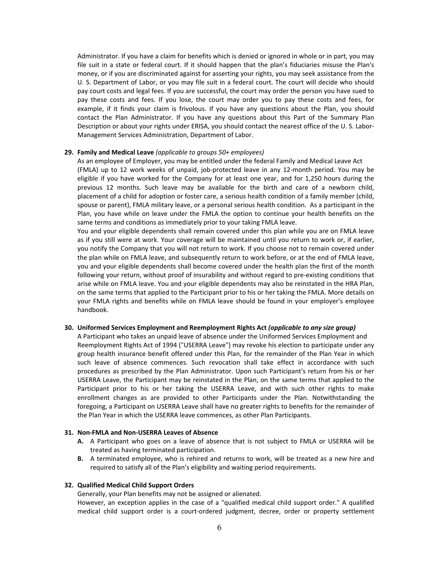Administrator. If you have a claim for benefits which is denied or ignored in whole or in part, you may file suit in a state or federal court. If it should happen that the plan's fiduciaries misuse the Plan's money, or if you are discriminated against for asserting your rights, you may seek assistance from the U. S. Department of Labor, or you may file suit in a federal court. The court will decide who should pay court costs and legal fees. If you are successful, the court may order the person you have sued to pay these costs and fees. If you lose, the court may order you to pay these costs and fees, for example, if it finds your claim is frivolous. If you have any questions about the Plan, you should contact the Plan Administrator. If you have any questions about this Part of the Summary Plan Description or about your rights under ERISA, you should contact the nearest office of the U. S. Labor‐ Management Services Administration, Department of Labor.

#### **29. Family and Medical Leave** *(applicable to groups 50+ employees)*

As an employee of Employer, you may be entitled under the federal Family and Medical Leave Act (FMLA) up to 12 work weeks of unpaid, job‐protected leave in any 12‐month period. You may be eligible if you have worked for the Company for at least one year, and for 1,250 hours during the previous 12 months. Such leave may be available for the birth and care of a newborn child, placement of a child for adoption or foster care, a serious health condition of a family member (child, spouse or parent), FMLA military leave, or a personal serious health condition. As a participant in the Plan, you have while on leave under the FMLA the option to continue your health benefits on the same terms and conditions as immediately prior to your taking FMLA leave.

You and your eligible dependents shall remain covered under this plan while you are on FMLA leave as if you still were at work. Your coverage will be maintained until you return to work or, if earlier, you notify the Company that you will not return to work. If you choose not to remain covered under the plan while on FMLA leave, and subsequently return to work before, or at the end of FMLA leave, you and your eligible dependents shall become covered under the health plan the first of the month following your return, without proof of insurability and without regard to pre-existing conditions that arise while on FMLA leave. You and your eligible dependents may also be reinstated in the HRA Plan, on the same terms that applied to the Participant prior to his or her taking the FMLA. More details on your FMLA rights and benefits while on FMLA leave should be found in your employer's employee handbook.

#### **30. Uniformed Services Employment and Reemployment Rights Act** *(applicable to any size group)*

A Participant who takes an unpaid leave of absence under the Uniformed Services Employment and Reemployment Rights Act of 1994 ("USERRA Leave") may revoke his election to participate under any group health insurance benefit offered under this Plan, for the remainder of the Plan Year in which such leave of absence commences. Such revocation shall take effect in accordance with such procedures as prescribed by the Plan Administrator. Upon such Participant's return from his or her USERRA Leave, the Participant may be reinstated in the Plan, on the same terms that applied to the Participant prior to his or her taking the USERRA Leave, and with such other rights to make enrollment changes as are provided to other Participants under the Plan. Notwithstanding the foregoing, a Participant on USERRA Leave shall have no greater rights to benefits for the remainder of the Plan Year in which the USERRA leave commences, as other Plan Participants.

#### **31. Non‐FMLA and Non‐USERRA Leaves of Absence**

- **A.** A Participant who goes on a leave of absence that is not subject to FMLA or USERRA will be treated as having terminated participation.
- **B.** A terminated employee, who is rehired and returns to work, will be treated as a new hire and required to satisfy all of the Plan's eligibility and waiting period requirements.

#### **32. Qualified Medical Child Support Orders**

Generally, your Plan benefits may not be assigned or alienated.

However, an exception applies in the case of a "qualified medical child support order." A qualified medical child support order is a court‐ordered judgment, decree, order or property settlement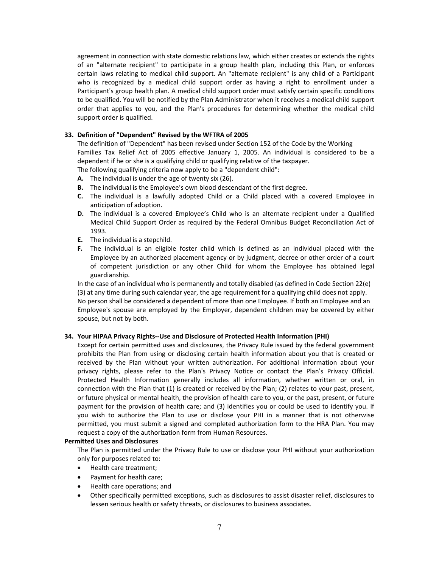agreement in connection with state domestic relations law, which either creates or extends the rights of an "alternate recipient" to participate in a group health plan, including this Plan, or enforces certain laws relating to medical child support. An "alternate recipient" is any child of a Participant who is recognized by a medical child support order as having a right to enrollment under a Participant's group health plan. A medical child support order must satisfy certain specific conditions to be qualified. You will be notified by the Plan Administrator when it receives a medical child support order that applies to you, and the Plan's procedures for determining whether the medical child support order is qualified.

#### **33. Definition of "Dependent" Revised by the WFTRA of 2005**

The definition of "Dependent" has been revised under Section 152 of the Code by the Working Families Tax Relief Act of 2005 effective January 1, 2005. An individual is considered to be a dependent if he or she is a qualifying child or qualifying relative of the taxpayer.

The following qualifying criteria now apply to be a "dependent child":

- **A.** The individual is under the age of twenty six (26).
- **B.** The individual is the Employee's own blood descendant of the first degree.
- **C.** The individual is a lawfully adopted Child or a Child placed with a covered Employee in anticipation of adoption.
- **D.** The individual is a covered Employee's Child who is an alternate recipient under a Qualified Medical Child Support Order as required by the Federal Omnibus Budget Reconciliation Act of 1993.
- **E.** The individual is a stepchild.
- **F.** The individual is an eligible foster child which is defined as an individual placed with the Employee by an authorized placement agency or by judgment, decree or other order of a court of competent jurisdiction or any other Child for whom the Employee has obtained legal guardianship.

In the case of an individual who is permanently and totally disabled (as defined in Code Section 22(e) (3) at any time during such calendar year, the age requirement for a qualifying child does not apply. No person shall be considered a dependent of more than one Employee. If both an Employee and an Employee's spouse are employed by the Employer, dependent children may be covered by either spouse, but not by both.

#### **34. Your HIPAA Privacy Rights‐‐Use and Disclosure of Protected Health Information (PHI)**

Except for certain permitted uses and disclosures, the Privacy Rule issued by the federal government prohibits the Plan from using or disclosing certain health information about you that is created or received by the Plan without your written authorization. For additional information about your privacy rights, please refer to the Plan's Privacy Notice or contact the Plan's Privacy Official. Protected Health Information generally includes all information, whether written or oral, in connection with the Plan that (1) is created or received by the Plan; (2) relates to your past, present, or future physical or mental health, the provision of health care to you, or the past, present, or future payment for the provision of health care; and (3) identifies you or could be used to identify you. If you wish to authorize the Plan to use or disclose your PHI in a manner that is not otherwise permitted, you must submit a signed and completed authorization form to the HRA Plan. You may request a copy of the authorization form from Human Resources.

#### **Permitted Uses and Disclosures**

The Plan is permitted under the Privacy Rule to use or disclose your PHI without your authorization only for purposes related to:

- Health care treatment:
- Payment for health care;
- Health care operations; and
- Other specifically permitted exceptions, such as disclosures to assist disaster relief, disclosures to lessen serious health or safety threats, or disclosures to business associates.